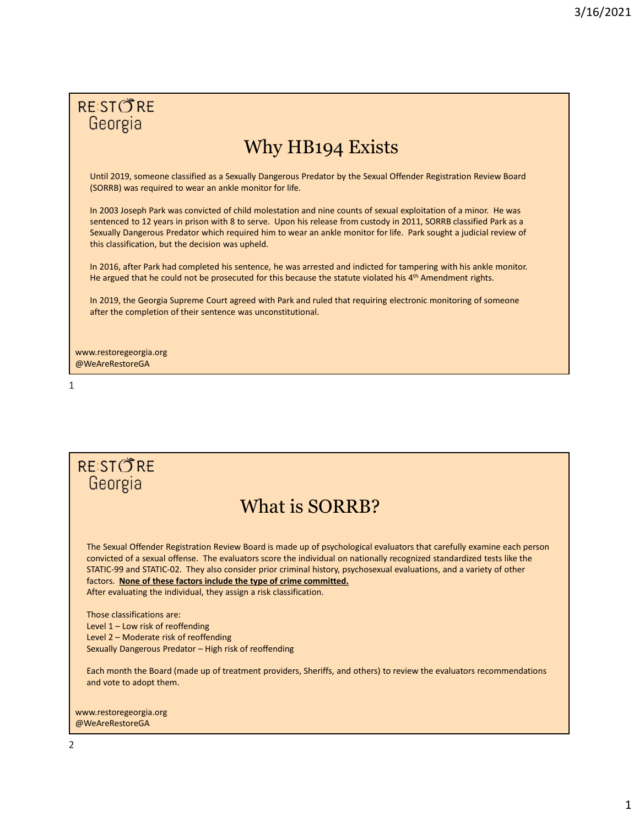# **RESTORE** Georgia

# Why HB194 Exists

Until 2019, someone classified as a Sexually Dangerous Predator by the Sexual Offender Registration Review Board (SORRB) was required to wear an ankle monitor for life.

In 2003 Joseph Park was convicted of child molestation and nine counts of sexual exploitation of a minor. He was sentenced to 12 years in prison with 8 to serve. Upon his release from custody in 2011, SORRB classified Park as a Sexually Dangerous Predator which required him to wear an ankle monitor for life. Park sought a judicial review of this classification, but the decision was upheld.

In 2016, after Park had completed his sentence, he was arrested and indicted for tampering with his ankle monitor. He argued that he could not be prosecuted for this because the statute violated his  $4<sup>th</sup>$  Amendment rights.

In 2019, the Georgia Supreme Court agreed with Park and ruled that requiring electronic monitoring of someone after the completion of their sentence was unconstitutional.

www.restoregeorgia.org @WeAreRestoreGA

 $1$ 

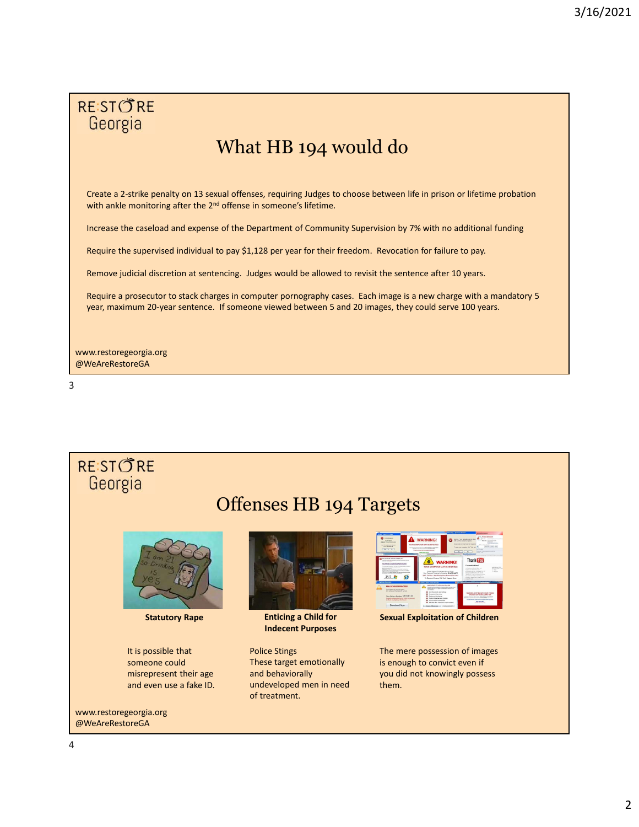

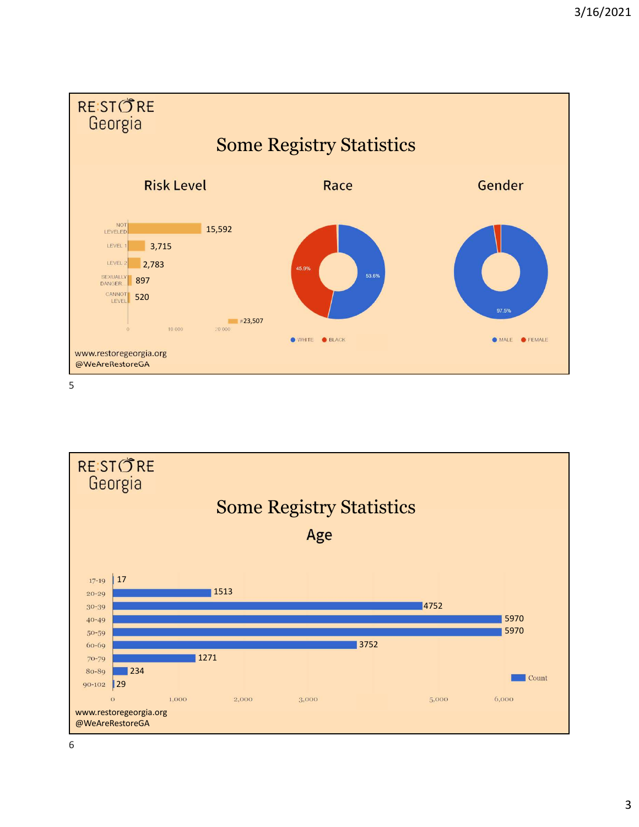



6